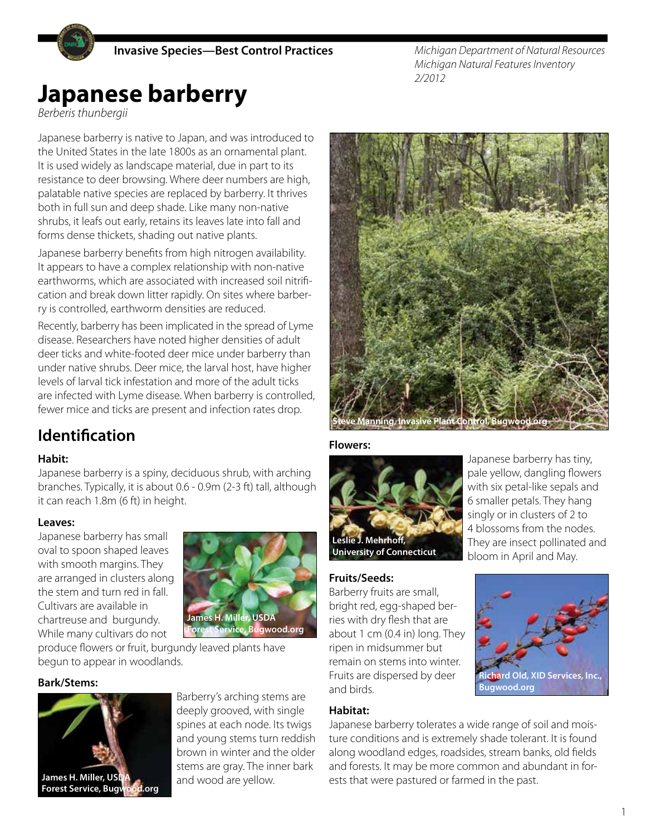

*Michigan Department of Natural Resources Michigan Natural Features Inventory 2/2012*

# **Japanese barberry**

*Berberis thunbergii*

Japanese barberry is native to Japan, and was introduced to the United States in the late 1800s as an ornamental plant. It is used widely as landscape material, due in part to its resistance to deer browsing. Where deer numbers are high, palatable native species are replaced by barberry. It thrives both in full sun and deep shade. Like many non-native shrubs, it leafs out early, retains its leaves late into fall and forms dense thickets, shading out native plants.

Japanese barberry benefits from high nitrogen availability. It appears to have a complex relationship with non-native earthworms, which are associated with increased soil nitrification and break down litter rapidly. On sites where barberry is controlled, earthworm densities are reduced.

Recently, barberry has been implicated in the spread of Lyme disease. Researchers have noted higher densities of adult deer ticks and white-footed deer mice under barberry than under native shrubs. Deer mice, the larval host, have higher levels of larval tick infestation and more of the adult ticks are infected with Lyme disease. When barberry is controlled, fewer mice and ticks are present and infection rates drop.

## **Identification**

## **Habit:**

Japanese barberry is a spiny, deciduous shrub, with arching branches. Typically, it is about 0.6 - 0.9m (2-3 ft) tall, although it can reach 1.8m (6 ft) in height.

### **Leaves:**

Japanese barberry has small oval to spoon shaped leaves with smooth margins. They are arranged in clusters along the stem and turn red in fall. Cultivars are available in chartreuse and burgundy. While many cultivars do not



produce flowers or fruit, burgundy leaved plants have begun to appear in woodlands.

## **Bark/Stems:**



Barberry's arching stems are deeply grooved, with single spines at each node. Its twigs and young stems turn reddish brown in winter and the older stems are gray. The inner bark and wood are yellow.



#### **Flowers:**



Japanese barberry has tiny, pale yellow, dangling flowers with six petal-like sepals and 6 smaller petals. They hang singly or in clusters of 2 to 4 blossoms from the nodes. They are insect pollinated and bloom in April and May.

#### **Fruits/Seeds:**

Barberry fruits are small, bright red, egg-shaped berries with dry flesh that are about 1 cm (0.4 in) long. They ripen in midsummer but remain on stems into winter. Fruits are dispersed by deer and birds.

### **Habitat:**

Japanese barberry tolerates a wide range of soil and moisture conditions and is extremely shade tolerant. It is found along woodland edges, roadsides, stream banks, old fields and forests. It may be more common and abundant in forests that were pastured or farmed in the past.



**Richard Old, XID Services, Inc., Bugwood.org**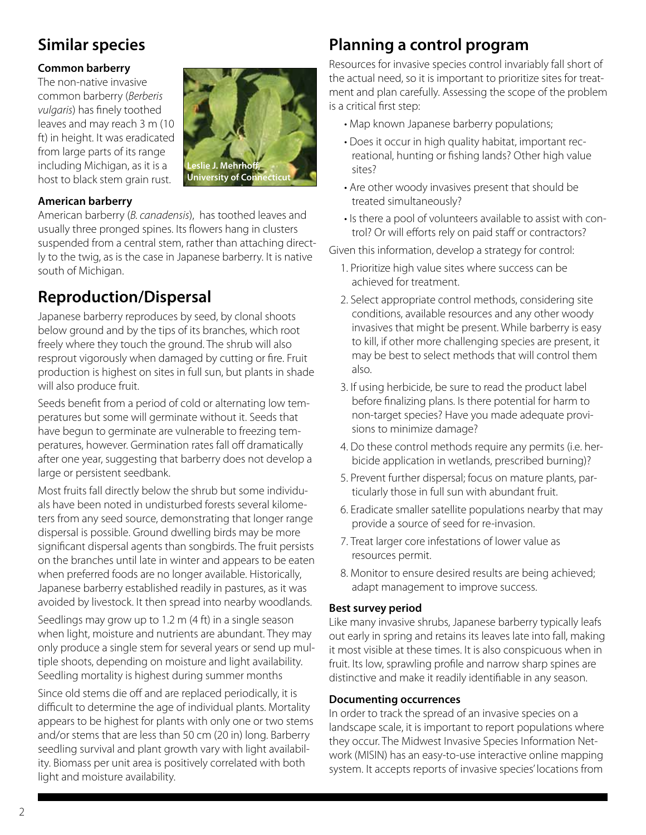## **Similar species**

## **Common barberry**

The non-native invasive common barberry (*Berberis vulgaris*) has finely toothed leaves and may reach 3 m (10 ft) in height. It was eradicated from large parts of its range including Michigan, as it is a host to black stem grain rust.



## **American barberry**

American barberry (*B. canadensis*), has toothed leaves and usually three pronged spines. Its flowers hang in clusters suspended from a central stem, rather than attaching directly to the twig, as is the case in Japanese barberry. It is native south of Michigan.

## **Reproduction/Dispersal**

Japanese barberry reproduces by seed, by clonal shoots below ground and by the tips of its branches, which root freely where they touch the ground. The shrub will also resprout vigorously when damaged by cutting or fire. Fruit production is highest on sites in full sun, but plants in shade will also produce fruit.

Seeds benefit from a period of cold or alternating low temperatures but some will germinate without it. Seeds that have begun to germinate are vulnerable to freezing temperatures, however. Germination rates fall off dramatically after one year, suggesting that barberry does not develop a large or persistent seedbank.

Most fruits fall directly below the shrub but some individuals have been noted in undisturbed forests several kilometers from any seed source, demonstrating that longer range dispersal is possible. Ground dwelling birds may be more significant dispersal agents than songbirds. The fruit persists on the branches until late in winter and appears to be eaten when preferred foods are no longer available. Historically, Japanese barberry established readily in pastures, as it was avoided by livestock. It then spread into nearby woodlands.

Seedlings may grow up to 1.2 m (4 ft) in a single season when light, moisture and nutrients are abundant. They may only produce a single stem for several years or send up multiple shoots, depending on moisture and light availability. Seedling mortality is highest during summer months

Since old stems die off and are replaced periodically, it is difficult to determine the age of individual plants. Mortality appears to be highest for plants with only one or two stems and/or stems that are less than 50 cm (20 in) long. Barberry seedling survival and plant growth vary with light availability. Biomass per unit area is positively correlated with both light and moisture availability.

## **Planning a control program**

Resources for invasive species control invariably fall short of the actual need, so it is important to prioritize sites for treatment and plan carefully. Assessing the scope of the problem is a critical first step:

- Map known Japanese barberry populations;
- Does it occur in high quality habitat, important recreational, hunting or fishing lands? Other high value sites?
- Are other woody invasives present that should be treated simultaneously?
- Is there a pool of volunteers available to assist with control? Or will efforts rely on paid staff or contractors?

Given this information, develop a strategy for control:

- 1. Prioritize high value sites where success can be achieved for treatment.
- 2. Select appropriate control methods, considering site conditions, available resources and any other woody invasives that might be present. While barberry is easy to kill, if other more challenging species are present, it may be best to select methods that will control them also.
- 3. If using herbicide, be sure to read the product label before finalizing plans. Is there potential for harm to non-target species? Have you made adequate provisions to minimize damage?
- 4. Do these control methods require any permits (i.e. herbicide application in wetlands, prescribed burning)?
- 5. Prevent further dispersal; focus on mature plants, particularly those in full sun with abundant fruit.
- 6. Eradicate smaller satellite populations nearby that may provide a source of seed for re-invasion.
- 7. Treat larger core infestations of lower value as resources permit.
- 8. Monitor to ensure desired results are being achieved; adapt management to improve success.

## **Best survey period**

Like many invasive shrubs, Japanese barberry typically leafs out early in spring and retains its leaves late into fall, making it most visible at these times. It is also conspicuous when in fruit. Its low, sprawling profile and narrow sharp spines are distinctive and make it readily identifiable in any season.

### **Documenting occurrences**

In order to track the spread of an invasive species on a landscape scale, it is important to report populations where they occur. The Midwest Invasive Species Information Network (MISIN) has an easy-to-use interactive online mapping system. It accepts reports of invasive species' locations from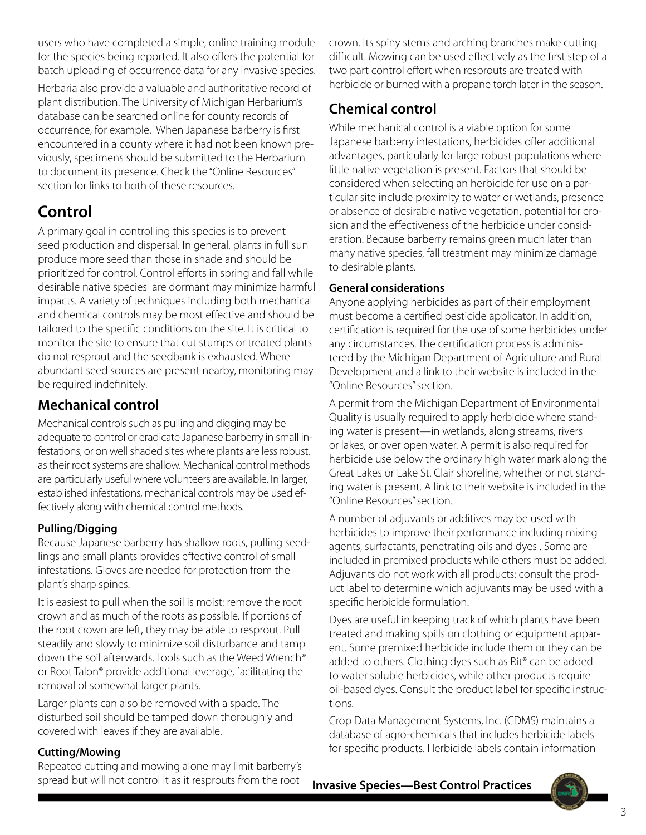users who have completed a simple, online training module for the species being reported. It also offers the potential for batch uploading of occurrence data for any invasive species.

Herbaria also provide a valuable and authoritative record of plant distribution. The University of Michigan Herbarium's database can be searched online for county records of occurrence, for example. When Japanese barberry is first encountered in a county where it had not been known previously, specimens should be submitted to the Herbarium to document its presence. Check the "Online Resources" section for links to both of these resources.

## **Control**

A primary goal in controlling this species is to prevent seed production and dispersal. In general, plants in full sun produce more seed than those in shade and should be prioritized for control. Control efforts in spring and fall while desirable native species are dormant may minimize harmful impacts. A variety of techniques including both mechanical and chemical controls may be most effective and should be tailored to the specific conditions on the site. It is critical to monitor the site to ensure that cut stumps or treated plants do not resprout and the seedbank is exhausted. Where abundant seed sources are present nearby, monitoring may be required indefinitely.

## **Mechanical control**

Mechanical controls such as pulling and digging may be adequate to control or eradicate Japanese barberry in small infestations, or on well shaded sites where plants are less robust, as their root systems are shallow. Mechanical control methods are particularly useful where volunteers are available. In larger, established infestations, mechanical controls may be used effectively along with chemical control methods.

## **Pulling/Digging**

Because Japanese barberry has shallow roots, pulling seedlings and small plants provides effective control of small infestations. Gloves are needed for protection from the plant's sharp spines.

It is easiest to pull when the soil is moist; remove the root crown and as much of the roots as possible. If portions of the root crown are left, they may be able to resprout. Pull steadily and slowly to minimize soil disturbance and tamp down the soil afterwards. Tools such as the Weed Wrench® or Root Talon® provide additional leverage, facilitating the removal of somewhat larger plants.

Larger plants can also be removed with a spade. The disturbed soil should be tamped down thoroughly and covered with leaves if they are available.

## **Cutting/Mowing**

Repeated cutting and mowing alone may limit barberry's spread but will not control it as it resprouts from the root

crown. Its spiny stems and arching branches make cutting difficult. Mowing can be used effectively as the first step of a two part control effort when resprouts are treated with herbicide or burned with a propane torch later in the season.

## **Chemical control**

While mechanical control is a viable option for some Japanese barberry infestations, herbicides offer additional advantages, particularly for large robust populations where little native vegetation is present. Factors that should be considered when selecting an herbicide for use on a particular site include proximity to water or wetlands, presence or absence of desirable native vegetation, potential for erosion and the effectiveness of the herbicide under consideration. Because barberry remains green much later than many native species, fall treatment may minimize damage to desirable plants.

## **General considerations**

Anyone applying herbicides as part of their employment must become a certified pesticide applicator. In addition, certification is required for the use of some herbicides under any circumstances. The certification process is administered by the Michigan Department of Agriculture and Rural Development and a link to their website is included in the "Online Resources" section.

A permit from the Michigan Department of Environmental Quality is usually required to apply herbicide where standing water is present—in wetlands, along streams, rivers or lakes, or over open water. A permit is also required for herbicide use below the ordinary high water mark along the Great Lakes or Lake St. Clair shoreline, whether or not standing water is present. A link to their website is included in the "Online Resources" section.

A number of adjuvants or additives may be used with herbicides to improve their performance including mixing agents, surfactants, penetrating oils and dyes . Some are included in premixed products while others must be added. Adjuvants do not work with all products; consult the product label to determine which adjuvants may be used with a specific herbicide formulation.

Dyes are useful in keeping track of which plants have been treated and making spills on clothing or equipment apparent. Some premixed herbicide include them or they can be added to others. Clothing dyes such as Rit® can be added to water soluble herbicides, while other products require oil-based dyes. Consult the product label for specific instructions.

Crop Data Management Systems, Inc. (CDMS) maintains a database of agro-chemicals that includes herbicide labels for specific products. Herbicide labels contain information

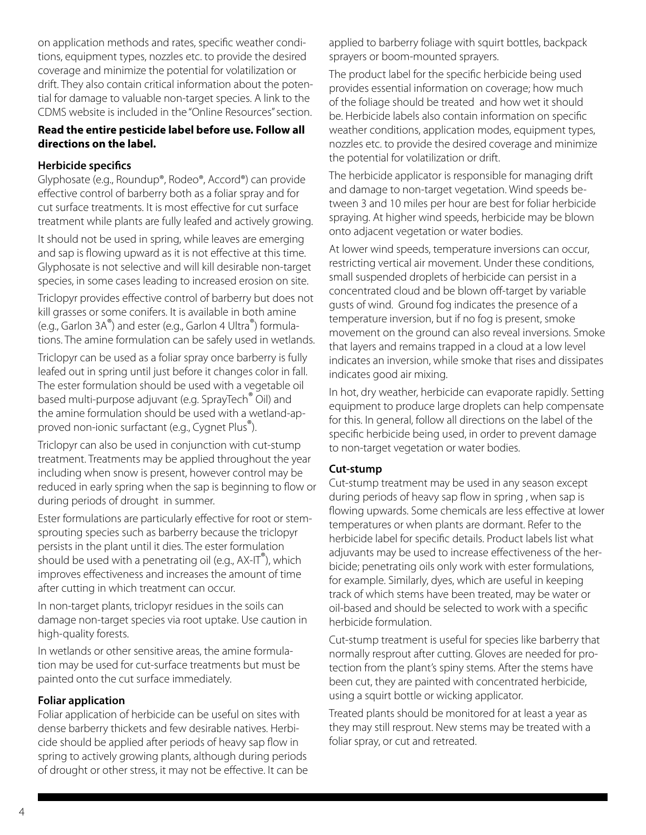on application methods and rates, specific weather conditions, equipment types, nozzles etc. to provide the desired coverage and minimize the potential for volatilization or drift. They also contain critical information about the potential for damage to valuable non-target species. A link to the CDMS website is included in the "Online Resources" section.

### **Read the entire pesticide label before use. Follow all directions on the label.**

## **Herbicide specifics**

Glyphosate (e.g., Roundup®, Rodeo®, Accord®) can provide effective control of barberry both as a foliar spray and for cut surface treatments. It is most effective for cut surface treatment while plants are fully leafed and actively growing.

It should not be used in spring, while leaves are emerging and sap is flowing upward as it is not effective at this time. Glyphosate is not selective and will kill desirable non-target species, in some cases leading to increased erosion on site.

Triclopyr provides effective control of barberry but does not kill grasses or some conifers. It is available in both amine (e.g., Garlon 3A®) and ester (e.g., Garlon 4 Ultra®) formulations. The amine formulation can be safely used in wetlands.

Triclopyr can be used as a foliar spray once barberry is fully leafed out in spring until just before it changes color in fall. The ester formulation should be used with a vegetable oil based multi-purpose adjuvant (e.g. SprayTech<sup>®</sup> Oil) and the amine formulation should be used with a wetland-approved non-ionic surfactant (e.g., Cygnet Plus®).

Triclopyr can also be used in conjunction with cut-stump treatment. Treatments may be applied throughout the year including when snow is present, however control may be reduced in early spring when the sap is beginning to flow or during periods of drought in summer.

Ester formulations are particularly effective for root or stemsprouting species such as barberry because the triclopyr persists in the plant until it dies. The ester formulation should be used with a penetrating oil (e.g.,  $AX-IT^{\circ}$ ), which improves effectiveness and increases the amount of time after cutting in which treatment can occur.

In non-target plants, triclopyr residues in the soils can damage non-target species via root uptake. Use caution in high-quality forests.

In wetlands or other sensitive areas, the amine formulation may be used for cut-surface treatments but must be painted onto the cut surface immediately.

## **Foliar application**

Foliar application of herbicide can be useful on sites with dense barberry thickets and few desirable natives. Herbicide should be applied after periods of heavy sap flow in spring to actively growing plants, although during periods of drought or other stress, it may not be effective. It can be applied to barberry foliage with squirt bottles, backpack sprayers or boom-mounted sprayers.

The product label for the specific herbicide being used provides essential information on coverage; how much of the foliage should be treated and how wet it should be. Herbicide labels also contain information on specific weather conditions, application modes, equipment types, nozzles etc. to provide the desired coverage and minimize the potential for volatilization or drift.

The herbicide applicator is responsible for managing drift and damage to non-target vegetation. Wind speeds between 3 and 10 miles per hour are best for foliar herbicide spraying. At higher wind speeds, herbicide may be blown onto adjacent vegetation or water bodies.

At lower wind speeds, temperature inversions can occur, restricting vertical air movement. Under these conditions, small suspended droplets of herbicide can persist in a concentrated cloud and be blown off-target by variable gusts of wind. Ground fog indicates the presence of a temperature inversion, but if no fog is present, smoke movement on the ground can also reveal inversions. Smoke that layers and remains trapped in a cloud at a low level indicates an inversion, while smoke that rises and dissipates indicates good air mixing.

In hot, dry weather, herbicide can evaporate rapidly. Setting equipment to produce large droplets can help compensate for this. In general, follow all directions on the label of the specific herbicide being used, in order to prevent damage to non-target vegetation or water bodies.

## **Cut-stump**

Cut-stump treatment may be used in any season except during periods of heavy sap flow in spring , when sap is flowing upwards. Some chemicals are less effective at lower temperatures or when plants are dormant. Refer to the herbicide label for specific details. Product labels list what adjuvants may be used to increase effectiveness of the herbicide; penetrating oils only work with ester formulations, for example. Similarly, dyes, which are useful in keeping track of which stems have been treated, may be water or oil-based and should be selected to work with a specific herbicide formulation.

Cut-stump treatment is useful for species like barberry that normally resprout after cutting. Gloves are needed for protection from the plant's spiny stems. After the stems have been cut, they are painted with concentrated herbicide, using a squirt bottle or wicking applicator.

Treated plants should be monitored for at least a year as they may still resprout. New stems may be treated with a foliar spray, or cut and retreated.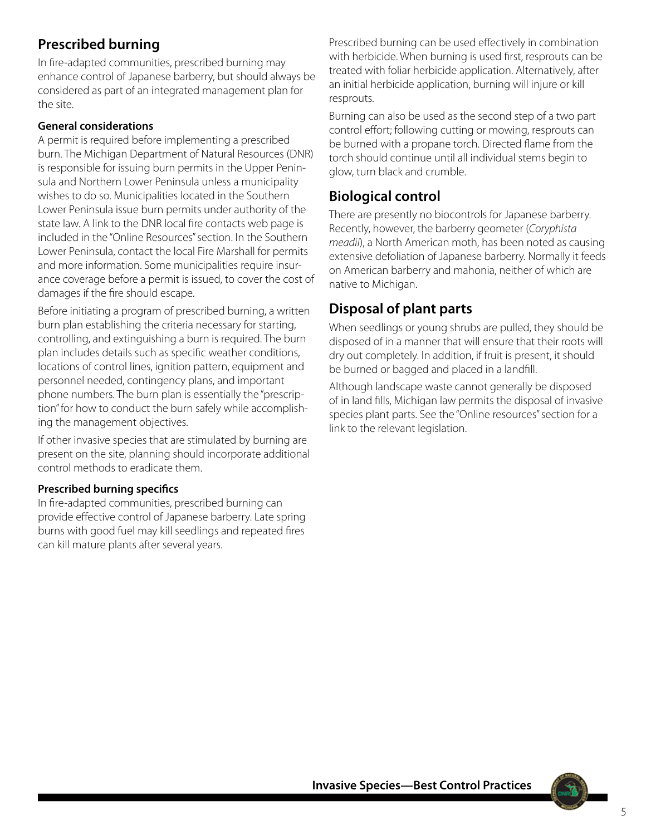## **Prescribed burning**

In fire-adapted communities, prescribed burning may enhance control of Japanese barberry, but should always be considered as part of an integrated management plan for the site.

### **General considerations**

A permit is required before implementing a prescribed burn. The Michigan Department of Natural Resources (DNR) is responsible for issuing burn permits in the Upper Peninsula and Northern Lower Peninsula unless a municipality wishes to do so. Municipalities located in the Southern Lower Peninsula issue burn permits under authority of the state law. A link to the DNR local fire contacts web page is included in the "Online Resources" section. In the Southern Lower Peninsula, contact the local Fire Marshall for permits and more information. Some municipalities require insurance coverage before a permit is issued, to cover the cost of damages if the fire should escape.

Before initiating a program of prescribed burning, a written burn plan establishing the criteria necessary for starting, controlling, and extinguishing a burn is required. The burn plan includes details such as specific weather conditions, locations of control lines, ignition pattern, equipment and personnel needed, contingency plans, and important phone numbers. The burn plan is essentially the "prescription" for how to conduct the burn safely while accomplishing the management objectives.

If other invasive species that are stimulated by burning are present on the site, planning should incorporate additional control methods to eradicate them.

### **Prescribed burning specifics**

In fire-adapted communities, prescribed burning can provide effective control of Japanese barberry. Late spring burns with good fuel may kill seedlings and repeated fires can kill mature plants after several years.

Prescribed burning can be used effectively in combination with herbicide. When burning is used first, resprouts can be treated with foliar herbicide application. Alternatively, after an initial herbicide application, burning will injure or kill resprouts.

Burning can also be used as the second step of a two part control effort; following cutting or mowing, resprouts can be burned with a propane torch. Directed flame from the torch should continue until all individual stems begin to glow, turn black and crumble.

## **Biological control**

There are presently no biocontrols for Japanese barberry. Recently, however, the barberry geometer (*Coryphista meadii*), a North American moth, has been noted as causing extensive defoliation of Japanese barberry. Normally it feeds on American barberry and mahonia, neither of which are native to Michigan.

## **Disposal of plant parts**

When seedlings or young shrubs are pulled, they should be disposed of in a manner that will ensure that their roots will dry out completely. In addition, if fruit is present, it should be burned or bagged and placed in a landfill.

Although landscape waste cannot generally be disposed of in land fills, Michigan law permits the disposal of invasive species plant parts. See the "Online resources" section for a link to the relevant legislation.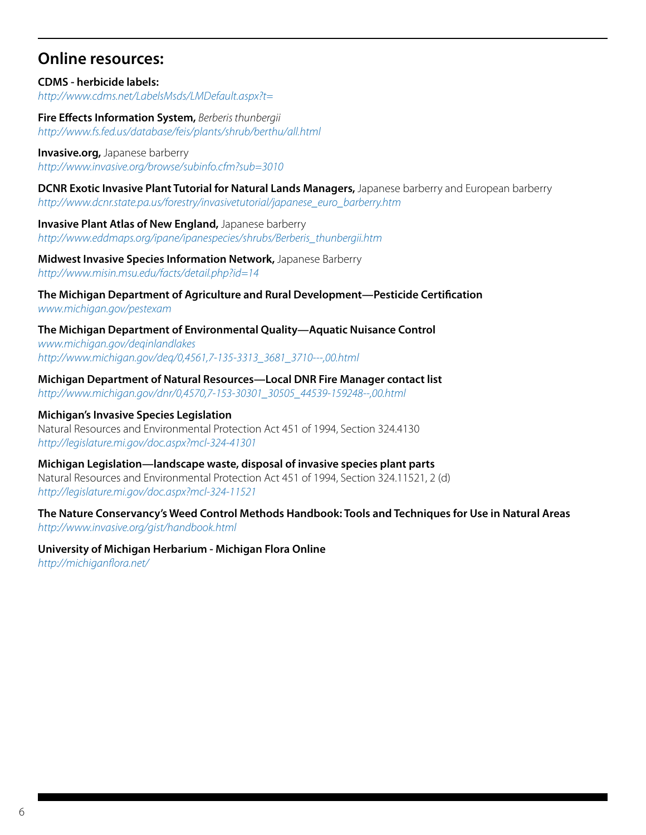## **Online resources:**

**CDMS - herbicide labels:** *http://www.cdms.net/LabelsMsds/LMDefault.aspx?t=*

**Fire Effects Information System,** *Berberis thunbergii http://www.fs.fed.us/database/feis/plants/shrub/berthu/all.html*

**Invasive.org,** Japanese barberry *http://www.invasive.org/browse/subinfo.cfm?sub=3010*

**DCNR Exotic Invasive Plant Tutorial for Natural Lands Managers,** Japanese barberry and European barberry *http://www.dcnr.state.pa.us/forestry/invasivetutorial/japanese\_euro\_barberry.htm*

**Invasive Plant Atlas of New England,** Japanese barberry *http://www.eddmaps.org/ipane/ipanespecies/shrubs/Berberis\_thunbergii.htm*

**Midwest Invasive Species Information Network,** Japanese Barberry *http://www.misin.msu.edu/facts/detail.php?id=14*

**The Michigan Department of Agriculture and Rural Development—Pesticide Certification** *www.michigan.gov/pestexam* 

**The Michigan Department of Environmental Quality—Aquatic Nuisance Control** *www.michigan.gov/deqinlandlakes [http://www.michigan.gov/deq/0,4561,7-135-3313\\_3681\\_3710---,00.html](http://www.michigan.gov/deq/0,4561,7-135-3313_3681_3710---,00.html)*

**Michigan Department of Natural Resources—Local DNR Fire Manager contact list** *[http://www.michigan.gov/dnr/0,4570,7-153-30301\\_30505\\_44539-159248--,00.html](http://www.michigan.gov/dnr/0,4570,7-153-30301_30505_44539-159248--,00.html)*

**Michigan's Invasive Species Legislation** Natural Resources and Environmental Protection Act 451 of 1994, Section 324.4130 *http://legislature.mi.gov/doc.aspx?mcl-324-41301*

**Michigan Legislation—landscape waste, disposal of invasive species plant parts** Natural Resources and Environmental Protection Act 451 of 1994, Section 324.11521, 2 (d) *http://legislature.mi.gov/doc.aspx?mcl-324-11521*

**The Nature Conservancy's Weed Control Methods Handbook: Tools and Techniques for Use in Natural Areas** *http://www.invasive.org/gist/handbook.html*

**University of Michigan Herbarium - Michigan Flora Online** *http://michiganflora.net/*